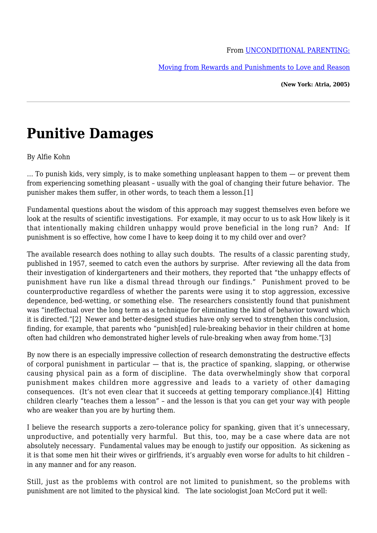From [UNCONDITIONAL PARENTING:](http://www.alfiekohn.org/unconditional-parenting/)

[Moving from Rewards and Punishments to Love and Reason](http://www.alfiekohn.org/unconditional-parenting/)

**(New York: Atria, 2005)**

## **Punitive Damages**

By Alfie Kohn

… To punish kids, very simply, is to make something unpleasant happen to them — or prevent them from experiencing something pleasant – usually with the goal of changing their future behavior. The punisher makes them suffer, in other words, to teach them a lesson.[1]

Fundamental questions about the wisdom of this approach may suggest themselves even before we look at the results of scientific investigations. For example, it may occur to us to ask How likely is it that intentionally making children unhappy would prove beneficial in the long run? And: If punishment is so effective, how come I have to keep doing it to my child over and over?

The available research does nothing to allay such doubts. The results of a classic parenting study, published in 1957, seemed to catch even the authors by surprise. After reviewing all the data from their investigation of kindergarteners and their mothers, they reported that "the unhappy effects of punishment have run like a dismal thread through our findings." Punishment proved to be counterproductive regardless of whether the parents were using it to stop aggression, excessive dependence, bed-wetting, or something else. The researchers consistently found that punishment was "ineffectual over the long term as a technique for eliminating the kind of behavior toward which it is directed."[2] Newer and better-designed studies have only served to strengthen this conclusion, finding, for example, that parents who "punish[ed] rule-breaking behavior in their children at home often had children who demonstrated higher levels of rule-breaking when away from home."[3]

By now there is an especially impressive collection of research demonstrating the destructive effects of corporal punishment in particular  $-$  that is, the practice of spanking, slapping, or otherwise causing physical pain as a form of discipline. The data overwhelmingly show that corporal punishment makes children more aggressive and leads to a variety of other damaging consequences. (It's not even clear that it succeeds at getting temporary compliance.)[4] Hitting children clearly "teaches them a lesson" – and the lesson is that you can get your way with people who are weaker than you are by hurting them.

I believe the research supports a zero-tolerance policy for spanking, given that it's unnecessary, unproductive, and potentially very harmful. But this, too, may be a case where data are not absolutely necessary. Fundamental values may be enough to justify our opposition. As sickening as it is that some men hit their wives or girlfriends, it's arguably even worse for adults to hit children – in any manner and for any reason.

Still, just as the problems with control are not limited to punishment, so the problems with punishment are not limited to the physical kind. The late sociologist Joan McCord put it well: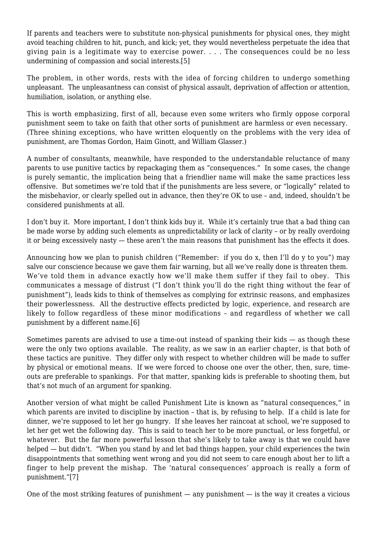If parents and teachers were to substitute non-physical punishments for physical ones, they might avoid teaching children to hit, punch, and kick; yet, they would nevertheless perpetuate the idea that giving pain is a legitimate way to exercise power. . . . The consequences could be no less undermining of compassion and social interests.[5]

The problem, in other words, rests with the idea of forcing children to undergo something unpleasant. The unpleasantness can consist of physical assault, deprivation of affection or attention, humiliation, isolation, or anything else.

This is worth emphasizing, first of all, because even some writers who firmly oppose corporal punishment seem to take on faith that other sorts of punishment are harmless or even necessary. (Three shining exceptions, who have written eloquently on the problems with the very idea of punishment, are Thomas Gordon, Haim Ginott, and William Glasser.)

A number of consultants, meanwhile, have responded to the understandable reluctance of many parents to use punitive tactics by repackaging them as "consequences." In some cases, the change is purely semantic, the implication being that a friendlier name will make the same practices less offensive. But sometimes we're told that if the punishments are less severe, or "logically" related to the misbehavior, or clearly spelled out in advance, then they're OK to use – and, indeed, shouldn't be considered punishments at all.

I don't buy it. More important, I don't think kids buy it. While it's certainly true that a bad thing can be made worse by adding such elements as unpredictability or lack of clarity – or by really overdoing it or being excessively nasty — these aren't the main reasons that punishment has the effects it does.

Announcing how we plan to punish children ("Remember: if you do x, then I'll do y to you") may salve our conscience because we gave them fair warning, but all we've really done is threaten them. We've told them in advance exactly how we'll make them suffer if they fail to obey. This communicates a message of distrust ("I don't think you'll do the right thing without the fear of punishment"), leads kids to think of themselves as complying for extrinsic reasons, and emphasizes their powerlessness. All the destructive effects predicted by logic, experience, and research are likely to follow regardless of these minor modifications – and regardless of whether we call punishment by a different name.[6]

Sometimes parents are advised to use a time-out instead of spanking their kids — as though these were the only two options available. The reality, as we saw in an earlier chapter, is that both of these tactics are punitive. They differ only with respect to whether children will be made to suffer by physical or emotional means. If we were forced to choose one over the other, then, sure, timeouts are preferable to spankings. For that matter, spanking kids is preferable to shooting them, but that's not much of an argument for spanking.

Another version of what might be called Punishment Lite is known as "natural consequences," in which parents are invited to discipline by inaction – that is, by refusing to help. If a child is late for dinner, we're supposed to let her go hungry. If she leaves her raincoat at school, we're supposed to let her get wet the following day. This is said to teach her to be more punctual, or less forgetful, or whatever. But the far more powerful lesson that she's likely to take away is that we could have helped — but didn't. "When you stand by and let bad things happen, your child experiences the twin disappointments that something went wrong and you did not seem to care enough about her to lift a finger to help prevent the mishap. The 'natural consequences' approach is really a form of punishment."[7]

One of the most striking features of punishment  $-$  any punishment  $-$  is the way it creates a vicious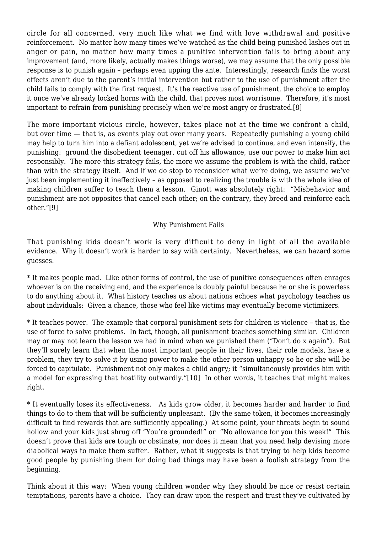circle for all concerned, very much like what we find with love withdrawal and positive reinforcement. No matter how many times we've watched as the child being punished lashes out in anger or pain, no matter how many times a punitive intervention fails to bring about any improvement (and, more likely, actually makes things worse), we may assume that the only possible response is to punish again – perhaps even upping the ante. Interestingly, research finds the worst effects aren't due to the parent's initial intervention but rather to the use of punishment after the child fails to comply with the first request. It's the reactive use of punishment, the choice to employ it once we've already locked horns with the child, that proves most worrisome. Therefore, it's most important to refrain from punishing precisely when we're most angry or frustrated.[8]

The more important vicious circle, however, takes place not at the time we confront a child, but over time — that is, as events play out over many years. Repeatedly punishing a young child may help to turn him into a defiant adolescent, yet we're advised to continue, and even intensify, the punishing: ground the disobedient teenager, cut off his allowance, use our power to make him act responsibly. The more this strategy fails, the more we assume the problem is with the child, rather than with the strategy itself. And if we do stop to reconsider what we're doing, we assume we've just been implementing it ineffectively – as opposed to realizing the trouble is with the whole idea of making children suffer to teach them a lesson. Ginott was absolutely right: "Misbehavior and punishment are not opposites that cancel each other; on the contrary, they breed and reinforce each other."[9]

## Why Punishment Fails

That punishing kids doesn't work is very difficult to deny in light of all the available evidence. Why it doesn't work is harder to say with certainty. Nevertheless, we can hazard some guesses.

\* It makes people mad. Like other forms of control, the use of punitive consequences often enrages whoever is on the receiving end, and the experience is doubly painful because he or she is powerless to do anything about it. What history teaches us about nations echoes what psychology teaches us about individuals: Given a chance, those who feel like victims may eventually become victimizers.

\* It teaches power. The example that corporal punishment sets for children is violence – that is, the use of force to solve problems. In fact, though, all punishment teaches something similar. Children may or may not learn the lesson we had in mind when we punished them ("Don't do x again"). But they'll surely learn that when the most important people in their lives, their role models, have a problem, they try to solve it by using power to make the other person unhappy so he or she will be forced to capitulate. Punishment not only makes a child angry; it "simultaneously provides him with a model for expressing that hostility outwardly."[10] In other words, it teaches that might makes right.

\* It eventually loses its effectiveness. As kids grow older, it becomes harder and harder to find things to do to them that will be sufficiently unpleasant. (By the same token, it becomes increasingly difficult to find rewards that are sufficiently appealing.) At some point, your threats begin to sound hollow and your kids just shrug off "You're grounded!" or "No allowance for you this week!" This doesn't prove that kids are tough or obstinate, nor does it mean that you need help devising more diabolical ways to make them suffer. Rather, what it suggests is that trying to help kids become good people by punishing them for doing bad things may have been a foolish strategy from the beginning.

Think about it this way: When young children wonder why they should be nice or resist certain temptations, parents have a choice. They can draw upon the respect and trust they've cultivated by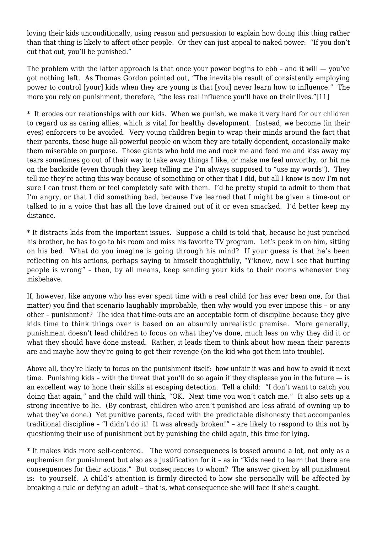loving their kids unconditionally, using reason and persuasion to explain how doing this thing rather than that thing is likely to affect other people. Or they can just appeal to naked power: "If you don't cut that out, you'll be punished."

The problem with the latter approach is that once your power begins to  $e^{i\phi}$  – and it will – you've got nothing left. As Thomas Gordon pointed out, "The inevitable result of consistently employing power to control [your] kids when they are young is that [you] never learn how to influence." The more you rely on punishment, therefore, "the less real influence you'll have on their lives."[11]

\* It erodes our relationships with our kids. When we punish, we make it very hard for our children to regard us as caring allies, which is vital for healthy development. Instead, we become (in their eyes) enforcers to be avoided. Very young children begin to wrap their minds around the fact that their parents, those huge all-powerful people on whom they are totally dependent, occasionally make them miserable on purpose. Those giants who hold me and rock me and feed me and kiss away my tears sometimes go out of their way to take away things I like, or make me feel unworthy, or hit me on the backside (even though they keep telling me I'm always supposed to "use my words"). They tell me they're acting this way because of something or other that I did, but all I know is now I'm not sure I can trust them or feel completely safe with them. I'd be pretty stupid to admit to them that I'm angry, or that I did something bad, because I've learned that I might be given a time-out or talked to in a voice that has all the love drained out of it or even smacked. I'd better keep my distance.

\* It distracts kids from the important issues. Suppose a child is told that, because he just punched his brother, he has to go to his room and miss his favorite TV program. Let's peek in on him, sitting on his bed. What do you imagine is going through his mind? If your guess is that he's been reflecting on his actions, perhaps saying to himself thoughtfully, "Y'know, now I see that hurting people is wrong" – then, by all means, keep sending your kids to their rooms whenever they misbehave.

If, however, like anyone who has ever spent time with a real child (or has ever been one, for that matter) you find that scenario laughably improbable, then why would you ever impose this – or any other – punishment? The idea that time-outs are an acceptable form of discipline because they give kids time to think things over is based on an absurdly unrealistic premise. More generally, punishment doesn't lead children to focus on what they've done, much less on why they did it or what they should have done instead. Rather, it leads them to think about how mean their parents are and maybe how they're going to get their revenge (on the kid who got them into trouble).

Above all, they're likely to focus on the punishment itself: how unfair it was and how to avoid it next time. Punishing kids – with the threat that you'll do so again if they displease you in the future  $-$  is an excellent way to hone their skills at escaping detection. Tell a child: "I don't want to catch you doing that again," and the child will think, "OK. Next time you won't catch me." It also sets up a strong incentive to lie. (By contrast, children who aren't punished are less afraid of owning up to what they've done.) Yet punitive parents, faced with the predictable dishonesty that accompanies traditional discipline – "I didn't do it! It was already broken!" – are likely to respond to this not by questioning their use of punishment but by punishing the child again, this time for lying.

\* It makes kids more self-centered. The word consequences is tossed around a lot, not only as a euphemism for punishment but also as a justification for it – as in "Kids need to learn that there are consequences for their actions." But consequences to whom? The answer given by all punishment is: to yourself. A child's attention is firmly directed to how she personally will be affected by breaking a rule or defying an adult – that is, what consequence she will face if she's caught.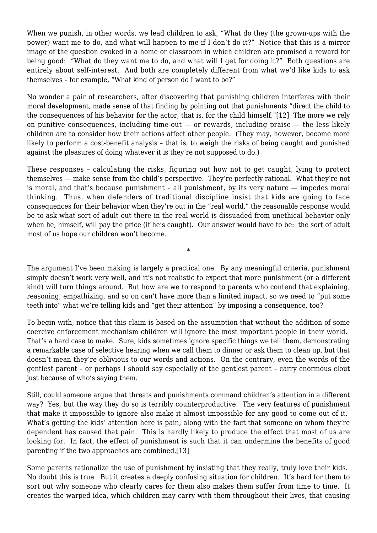When we punish, in other words, we lead children to ask, "What do they (the grown-ups with the power) want me to do, and what will happen to me if I don't do it?" Notice that this is a mirror image of the question evoked in a home or classroom in which children are promised a reward for being good: "What do they want me to do, and what will I get for doing it?" Both questions are entirely about self-interest. And both are completely different from what we'd like kids to ask themselves – for example, "What kind of person do I want to be?"

No wonder a pair of researchers, after discovering that punishing children interferes with their moral development, made sense of that finding by pointing out that punishments "direct the child to the consequences of his behavior for the actor, that is, for the child himself."[12] The more we rely on punitive consequences, including time-out  $-$  or rewards, including praise  $-$  the less likely children are to consider how their actions affect other people. (They may, however, become more likely to perform a cost-benefit analysis – that is, to weigh the risks of being caught and punished against the pleasures of doing whatever it is they're not supposed to do.)

These responses – calculating the risks, figuring out how not to get caught, lying to protect themselves — make sense from the child's perspective. They're perfectly rational. What they're not is moral, and that's because punishment – all punishment, by its very nature — impedes moral thinking. Thus, when defenders of traditional discipline insist that kids are going to face consequences for their behavior when they're out in the "real world," the reasonable response would be to ask what sort of adult out there in the real world is dissuaded from unethical behavior only when he, himself, will pay the price (if he's caught). Our answer would have to be: the sort of adult most of us hope our children won't become.

The argument I've been making is largely a practical one. By any meaningful criteria, punishment simply doesn't work very well, and it's not realistic to expect that more punishment (or a different kind) will turn things around. But how are we to respond to parents who contend that explaining, reasoning, empathizing, and so on can't have more than a limited impact, so we need to "put some teeth into" what we're telling kids and "get their attention" by imposing a consequence, too?

\*

To begin with, notice that this claim is based on the assumption that without the addition of some coercive enforcement mechanism children will ignore the most important people in their world. That's a hard case to make. Sure, kids sometimes ignore specific things we tell them, demonstrating a remarkable case of selective hearing when we call them to dinner or ask them to clean up, but that doesn't mean they're oblivious to our words and actions. On the contrary, even the words of the gentlest parent – or perhaps I should say especially of the gentlest parent – carry enormous clout just because of who's saying them.

Still, could someone argue that threats and punishments command children's attention in a different way? Yes, but the way they do so is terribly counterproductive. The very features of punishment that make it impossible to ignore also make it almost impossible for any good to come out of it. What's getting the kids' attention here is pain, along with the fact that someone on whom they're dependent has caused that pain. This is hardly likely to produce the effect that most of us are looking for. In fact, the effect of punishment is such that it can undermine the benefits of good parenting if the two approaches are combined.[13]

Some parents rationalize the use of punishment by insisting that they really, truly love their kids. No doubt this is true. But it creates a deeply confusing situation for children. It's hard for them to sort out why someone who clearly cares for them also makes them suffer from time to time. It creates the warped idea, which children may carry with them throughout their lives, that causing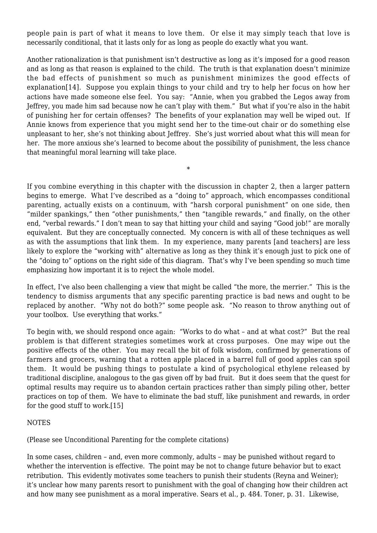people pain is part of what it means to love them. Or else it may simply teach that love is necessarily conditional, that it lasts only for as long as people do exactly what you want.

Another rationalization is that punishment isn't destructive as long as it's imposed for a good reason and as long as that reason is explained to the child. The truth is that explanation doesn't minimize the bad effects of punishment so much as punishment minimizes the good effects of explanation[14]. Suppose you explain things to your child and try to help her focus on how her actions have made someone else feel. You say: "Annie, when you grabbed the Legos away from Jeffrey, you made him sad because now he can't play with them." But what if you're also in the habit of punishing her for certain offenses? The benefits of your explanation may well be wiped out. If Annie knows from experience that you might send her to the time-out chair or do something else unpleasant to her, she's not thinking about Jeffrey. She's just worried about what this will mean for her. The more anxious she's learned to become about the possibility of punishment, the less chance that meaningful moral learning will take place.

If you combine everything in this chapter with the discussion in chapter 2, then a larger pattern begins to emerge. What I've described as a "doing to" approach, which encompasses conditional parenting, actually exists on a continuum, with "harsh corporal punishment" on one side, then "milder spankings," then "other punishments," then "tangible rewards," and finally, on the other end, "verbal rewards." I don't mean to say that hitting your child and saying "Good job!" are morally equivalent. But they are conceptually connected. My concern is with all of these techniques as well as with the assumptions that link them. In my experience, many parents [and teachers] are less likely to explore the "working with" alternative as long as they think it's enough just to pick one of the "doing to" options on the right side of this diagram. That's why I've been spending so much time emphasizing how important it is to reject the whole model.

\*

In effect, I've also been challenging a view that might be called "the more, the merrier." This is the tendency to dismiss arguments that any specific parenting practice is bad news and ought to be replaced by another. "Why not do both?" some people ask. "No reason to throw anything out of your toolbox. Use everything that works."

To begin with, we should respond once again: "Works to do what – and at what cost?" But the real problem is that different strategies sometimes work at cross purposes. One may wipe out the positive effects of the other. You may recall the bit of folk wisdom, confirmed by generations of farmers and grocers, warning that a rotten apple placed in a barrel full of good apples can spoil them. It would be pushing things to postulate a kind of psychological ethylene released by traditional discipline, analogous to the gas given off by bad fruit. But it does seem that the quest for optimal results may require us to abandon certain practices rather than simply piling other, better practices on top of them. We have to eliminate the bad stuff, like punishment and rewards, in order for the good stuff to work.[15]

## **NOTES**

(Please see Unconditional Parenting for the complete citations)

In some cases, children – and, even more commonly, adults – may be punished without regard to whether the intervention is effective. The point may be not to change future behavior but to exact retribution. This evidently motivates some teachers to punish their students (Reyna and Weiner); it's unclear how many parents resort to punishment with the goal of changing how their children act and how many see punishment as a moral imperative. Sears et al., p. 484. Toner, p. 31. Likewise,